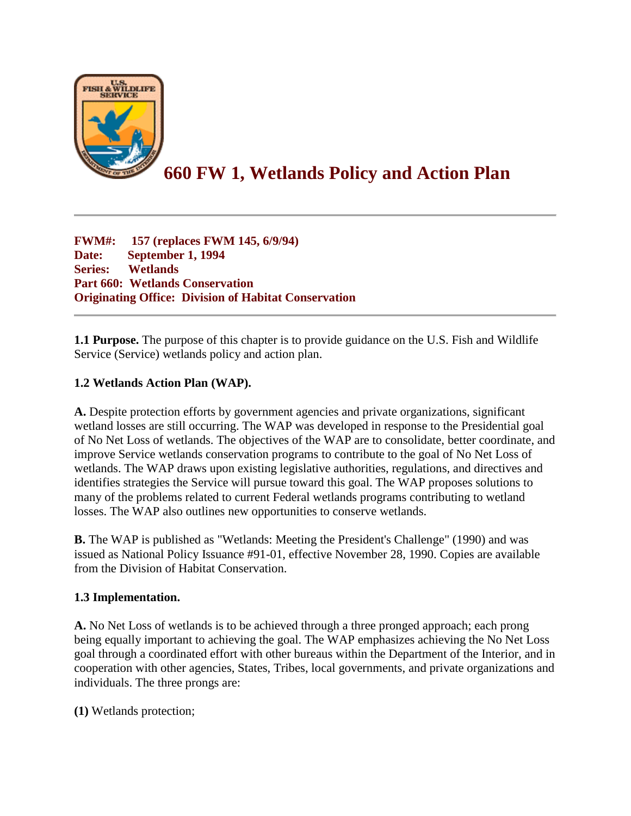

# **660 FW 1, Wetlands Policy and Action Plan**

**FWM#: 157 (replaces FWM 145, 6/9/94) Date: September 1, 1994 Series: Wetlands Part 660: Wetlands Conservation Originating Office: Division of Habitat Conservation**

**1.1 Purpose.** The purpose of this chapter is to provide guidance on the U.S. Fish and Wildlife Service (Service) wetlands policy and action plan.

### **1.2 Wetlands Action Plan (WAP).**

**A.** Despite protection efforts by government agencies and private organizations, significant wetland losses are still occurring. The WAP was developed in response to the Presidential goal of No Net Loss of wetlands. The objectives of the WAP are to consolidate, better coordinate, and improve Service wetlands conservation programs to contribute to the goal of No Net Loss of wetlands. The WAP draws upon existing legislative authorities, regulations, and directives and identifies strategies the Service will pursue toward this goal. The WAP proposes solutions to many of the problems related to current Federal wetlands programs contributing to wetland losses. The WAP also outlines new opportunities to conserve wetlands.

**B.** The WAP is published as "Wetlands: Meeting the President's Challenge" (1990) and was issued as National Policy Issuance #91-01, effective November 28, 1990. Copies are available from the Division of Habitat Conservation.

### **1.3 Implementation.**

**A.** No Net Loss of wetlands is to be achieved through a three pronged approach; each prong being equally important to achieving the goal. The WAP emphasizes achieving the No Net Loss goal through a coordinated effort with other bureaus within the Department of the Interior, and in cooperation with other agencies, States, Tribes, local governments, and private organizations and individuals. The three prongs are:

**(1)** Wetlands protection;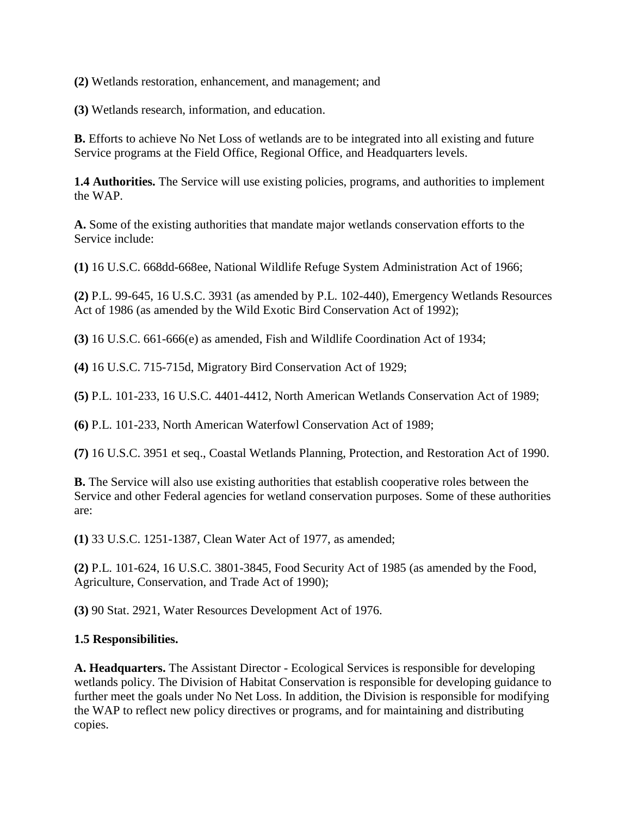**(2)** Wetlands restoration, enhancement, and management; and

**(3)** Wetlands research, information, and education.

**B.** Efforts to achieve No Net Loss of wetlands are to be integrated into all existing and future Service programs at the Field Office, Regional Office, and Headquarters levels.

**1.4 Authorities.** The Service will use existing policies, programs, and authorities to implement the WAP.

**A.** Some of the existing authorities that mandate major wetlands conservation efforts to the Service include:

**(1)** 16 U.S.C. 668dd-668ee, National Wildlife Refuge System Administration Act of 1966;

**(2)** P.L. 99-645, 16 U.S.C. 3931 (as amended by P.L. 102-440), Emergency Wetlands Resources Act of 1986 (as amended by the Wild Exotic Bird Conservation Act of 1992);

**(3)** 16 U.S.C. 661-666(e) as amended, Fish and Wildlife Coordination Act of 1934;

**(4)** 16 U.S.C. 715-715d, Migratory Bird Conservation Act of 1929;

**(5)** P.L. 101-233, 16 U.S.C. 4401-4412, North American Wetlands Conservation Act of 1989;

**(6)** P.L. 101-233, North American Waterfowl Conservation Act of 1989;

**(7)** 16 U.S.C. 3951 et seq., Coastal Wetlands Planning, Protection, and Restoration Act of 1990.

**B.** The Service will also use existing authorities that establish cooperative roles between the Service and other Federal agencies for wetland conservation purposes. Some of these authorities are:

**(1)** 33 U.S.C. 1251-1387, Clean Water Act of 1977, as amended;

**(2)** P.L. 101-624, 16 U.S.C. 3801-3845, Food Security Act of 1985 (as amended by the Food, Agriculture, Conservation, and Trade Act of 1990);

**(3)** 90 Stat. 2921, Water Resources Development Act of 1976.

#### **1.5 Responsibilities.**

**A. Headquarters.** The Assistant Director - Ecological Services is responsible for developing wetlands policy. The Division of Habitat Conservation is responsible for developing guidance to further meet the goals under No Net Loss. In addition, the Division is responsible for modifying the WAP to reflect new policy directives or programs, and for maintaining and distributing copies.